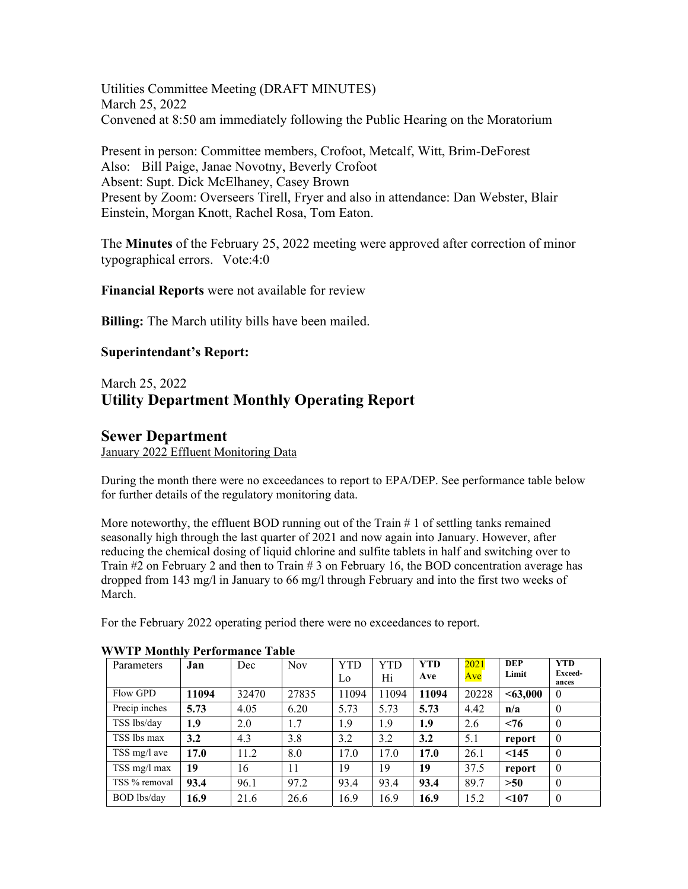Utilities Committee Meeting (DRAFT MINUTES) March 25, 2022 Convened at 8:50 am immediately following the Public Hearing on the Moratorium

Present in person: Committee members, Crofoot, Metcalf, Witt, Brim-DeForest Also: Bill Paige, Janae Novotny, Beverly Crofoot Absent: Supt. Dick McElhaney, Casey Brown Present by Zoom: Overseers Tirell, Fryer and also in attendance: Dan Webster, Blair Einstein, Morgan Knott, Rachel Rosa, Tom Eaton.

The **Minutes** of the February 25, 2022 meeting were approved after correction of minor typographical errors. Vote:4:0

**Financial Reports** were not available for review

**Billing:** The March utility bills have been mailed.

### **Superintendant's Report:**

## March 25, 2022 **Utility Department Monthly Operating Report**

## **Sewer Department**

January 2022 Effluent Monitoring Data

During the month there were no exceedances to report to EPA/DEP. See performance table below for further details of the regulatory monitoring data.

More noteworthy, the effluent BOD running out of the Train  $\# 1$  of settling tanks remained seasonally high through the last quarter of 2021 and now again into January. However, after reducing the chemical dosing of liquid chlorine and sulfite tablets in half and switching over to Train  $#2$  on February 2 and then to Train  $#3$  on February 16, the BOD concentration average has dropped from 143 mg/l in January to 66 mg/l through February and into the first two weeks of March.

For the February 2022 operating period there were no exceedances to report.

| Parameters         | Jan   | Dec   | <b>Nov</b> | <b>YTD</b> | YTD   | YTD.  | 2021  | <b>DEP</b> | <b>YTD</b>       |
|--------------------|-------|-------|------------|------------|-------|-------|-------|------------|------------------|
|                    |       |       |            | Lo         | Hi    | Ave   | Ave   | Limit      | Exceed-<br>ances |
| Flow GPD           | 11094 | 32470 | 27835      | 11094      | 11094 | 11094 | 20228 | < 63,000   | $\theta$         |
| Precip inches      | 5.73  | 4.05  | 6.20       | 5.73       | 5.73  | 5.73  | 4.42  | n/a        | $\theta$         |
| TSS lbs/day        | 1.9   | 2.0   | 1.7        | 1.9        | 1.9   | 1.9   | 2.6   | < 76       | $\theta$         |
| TSS lbs max        | 3.2   | 4.3   | 3.8        | 3.2        | 3.2   | 3.2   | 5.1   | report     | $\mathbf{0}$     |
| TSS mg/l ave       | 17.0  | 11.2  | 8.0        | 17.0       | 17.0  | 17.0  | 26.1  | < 145      | $\theta$         |
| TSS mg/l max       | 19    | 16    | 11         | 19         | 19    | 19    | 37.5  | report     | $\theta$         |
| TSS % removal      | 93.4  | 96.1  | 97.2       | 93.4       | 93.4  | 93.4  | 89.7  | >50        | $\theta$         |
| <b>BOD</b> lbs/day | 16.9  | 21.6  | 26.6       | 16.9       | 16.9  | 16.9  | 15.2  | < 107      | $\theta$         |

#### **WWTP Monthly Performance Table**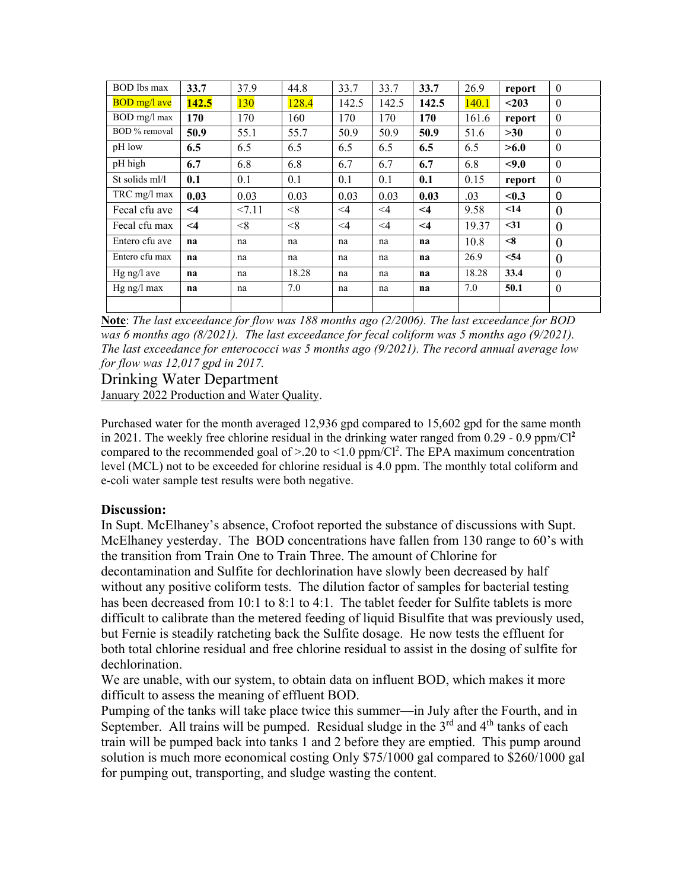| <b>BOD</b> lbs max  | 33.7     | 37.9  | 44.8  | 33.7     | 33.7     | 33.7     | 26.9  | report | $\Omega$ |
|---------------------|----------|-------|-------|----------|----------|----------|-------|--------|----------|
| <b>BOD</b> mg/l ave | 142.5    | 130   | 128.4 | 142.5    | 142.5    | 142.5    | 140.1 | $203$  | $\theta$ |
| BOD mg/l max        | 170      | 170   | 160   | 170      | 170      | 170      | 161.6 | report | $\theta$ |
| BOD % removal       | 50.9     | 55.1  | 55.7  | 50.9     | 50.9     | 50.9     | 51.6  | >30    | $\theta$ |
| pH low              | 6.5      | 6.5   | 6.5   | 6.5      | 6.5      | 6.5      | 6.5   | >6.0   | $\theta$ |
| pH high             | 6.7      | 6.8   | 6.8   | 6.7      | 6.7      | 6.7      | 6.8   | < 9.0  | $\theta$ |
| St solids ml/l      | 0.1      | 0.1   | 0.1   | 0.1      | 0.1      | 0.1      | 0.15  | report | $\theta$ |
| TRC mg/l max        | 0.03     | 0.03  | 0.03  | 0.03     | 0.03     | 0.03     | .03   | < 0.3  | $\Omega$ |
| Fecal cfu ave       | $\leq$ 4 | 27.11 | < 8   | $\leq$ 4 | $\leq$ 4 | $\leq$ 4 | 9.58  | $14$   | $\theta$ |
| Fecal cfu max       | $\leq$ 4 | $<$ 8 | < 8   | $\leq$ 4 | $\leq$ 4 | $\leq 4$ | 19.37 | $<$ 31 | $\theta$ |
| Entero cfu ave      | na       | na    | na    | na       | na       | na       | 10.8  | < 8    | $\theta$ |
| Entero cfu max      | na       | na    | na    | na       | na       | na       | 26.9  | < 54   | $\theta$ |
| $Hg$ ng/l ave       | na       | na    | 18.28 | na       | na       | na       | 18.28 | 33.4   | $\Omega$ |
| Hg ng/l max         | na       | na    | 7.0   | na       | na       | na       | 7.0   | 50.1   | $\theta$ |
|                     |          |       |       |          |          |          |       |        |          |

**Note**: *The last exceedance for flow was 188 months ago (2/2006). The last exceedance for BOD was 6 months ago (8/2021). The last exceedance for fecal coliform was 5 months ago (9/2021). The last exceedance for enterococci was 5 months ago (9/2021). The record annual average low for flow was 12,017 gpd in 2017.* 

# Drinking Water Department

January 2022 Production and Water Quality.

Purchased water for the month averaged 12,936 gpd compared to 15,602 gpd for the same month in 2021. The weekly free chlorine residual in the drinking water ranged from  $0.29 - 0.9$  ppm/Cl<sup>2</sup> compared to the recommended goal of  $> 20$  to  $\leq 1.0$  ppm/Cl<sup>2</sup>. The EPA maximum concentration level (MCL) not to be exceeded for chlorine residual is 4.0 ppm. The monthly total coliform and e-coli water sample test results were both negative.

## **Discussion:**

In Supt. McElhaney's absence, Crofoot reported the substance of discussions with Supt. McElhaney yesterday. The BOD concentrations have fallen from 130 range to 60's with the transition from Train One to Train Three. The amount of Chlorine for decontamination and Sulfite for dechlorination have slowly been decreased by half without any positive coliform tests. The dilution factor of samples for bacterial testing has been decreased from 10:1 to 8:1 to 4:1. The tablet feeder for Sulfite tablets is more difficult to calibrate than the metered feeding of liquid Bisulfite that was previously used, but Fernie is steadily ratcheting back the Sulfite dosage. He now tests the effluent for both total chlorine residual and free chlorine residual to assist in the dosing of sulfite for dechlorination.

We are unable, with our system, to obtain data on influent BOD, which makes it more difficult to assess the meaning of effluent BOD.

Pumping of the tanks will take place twice this summer—in July after the Fourth, and in September. All trains will be pumped. Residual sludge in the  $3<sup>rd</sup>$  and  $4<sup>th</sup>$  tanks of each train will be pumped back into tanks 1 and 2 before they are emptied. This pump around solution is much more economical costing Only \$75/1000 gal compared to \$260/1000 gal for pumping out, transporting, and sludge wasting the content.